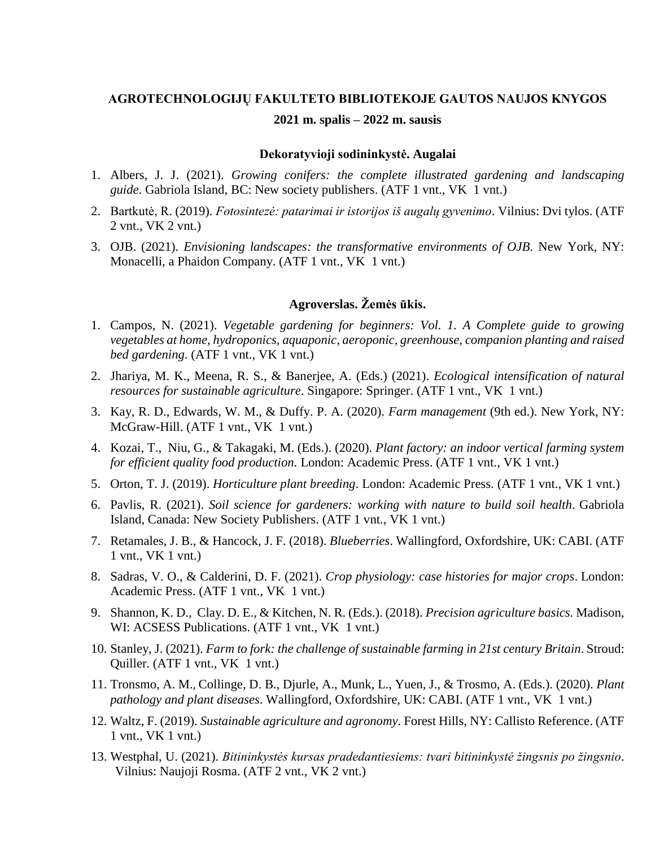#### **AGROTECHNOLOGIJŲ FAKULTETO BIBLIOTEKOJE GAUTOS NAUJOS KNYGOS**

# **2021 m. spalis – 2022 m. sausis**

#### **Dekoratyvioji sodininkystė. Augalai**

- 1. Albers, J. J. (2021). *Growing conifers: the complete illustrated gardening and landscaping guide*. Gabriola Island, BC: New society publishers. (ATF 1 vnt., VK 1 vnt.)
- 2. Bartkutė, R. (2019). *Fotosintezė: patarimai ir istorijos iš augalų gyvenimo*. Vilnius: Dvi tylos. (ATF 2 vnt., VK 2 vnt.)
- 3. OJB. (2021). *Envisioning landscapes: the transformative environments of OJB*. New York, NY: Monacelli, a Phaidon Company. (ATF 1 vnt., VK 1 vnt.)

# **Agroverslas. Žemės ūkis.**

- 1. Campos, N. (2021). *Vegetable gardening for beginners: Vol. 1. A Complete guide to growing vegetables at home, hydroponics, aquaponic, aeroponic, greenhouse, companion planting and raised bed gardening.* (ATF 1 vnt., VK 1 vnt.)
- 2. Jhariya, M. K., Meena, R. S., & Banerjee, A. (Eds.) (2021). *Ecological intensification of natural resources for sustainable agriculture.* Singapore: Springer. (ATF 1 vnt., VK 1 vnt.)
- 3. Kay, R. D., Edwards, W. M., & Duffy. P. A. (2020). *Farm management* (9th ed.). New York, NY: McGraw-Hill. (ATF 1 vnt., VK 1 vnt.)
- 4. Kozai, T., Niu, G., & Takagaki, M. (Eds.). (2020). *Plant factory: an indoor vertical farming system for efficient quality food production.* London: Academic Press. (ATF 1 vnt., VK 1 vnt.)
- 5. Orton, T. J. (2019). *Horticulture plant breeding*. London: Academic Press. (ATF 1 vnt., VK 1 vnt.)
- 6. Pavlis, R. (2021). *Soil science for gardeners: working with nature to build soil health*. Gabriola Island, Canada: New Society Publishers. (ATF 1 vnt., VK 1 vnt.)
- 7. Retamales, J. B., & Hancock, J. F. (2018). *Blueberries*. Wallingford, Oxfordshire, UK: CABI. (ATF 1 vnt., VK 1 vnt.)
- 8. Sadras, V. O., & Calderini, D. F. (2021). *Crop physiology: case histories for major crops*. London: Academic Press. (ATF 1 vnt., VK 1 vnt.)
- 9. Shannon, K. D., Clay. D. E., & Kitchen, N. R. (Eds.). (2018). *Precision agriculture basics.* Madison, WI: ACSESS Publications. (ATF 1 vnt., VK 1 vnt.)
- 10. Stanley, J. (2021). *Farm to fork: the challenge of sustainable farming in 21st century Britain*. Stroud: Quiller. (ATF 1 vnt., VK 1 vnt.)
- 11. Tronsmo, A. M., Collinge, D. B., Djurle, A., Munk, L., Yuen, J., & Trosmo, A. (Eds.). (2020). *Plant pathology and plant diseases*. Wallingford, Oxfordshire, UK: CABI. (ATF 1 vnt., VK 1 vnt.)
- 12. Waltz, F. (2019). *Sustainable agriculture and agronomy*. Forest Hills, NY: Callisto Reference. (ATF 1 vnt., VK 1 vnt.)
- 13. Westphal, U. (2021). *Bitininkystės kursas pradedantiesiems: tvari bitininkystė žingsnis po žingsnio*. Vilnius: Naujoji Rosma. (ATF 2 vnt., VK 2 vnt.)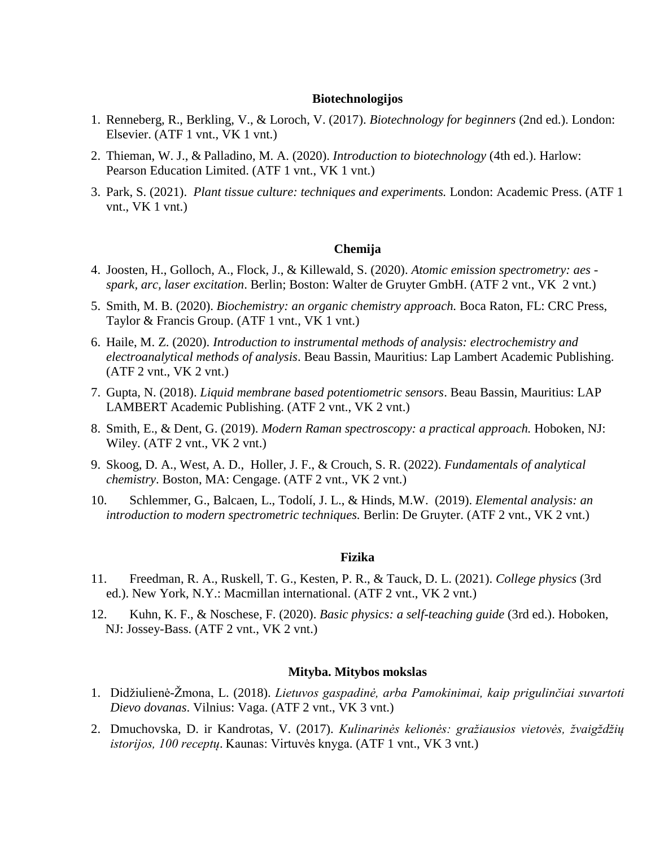#### **Biotechnologijos**

- 1. Renneberg, R., Berkling, V., & Loroch, V. (2017). *Biotechnology for beginners* (2nd ed.). London: Elsevier. (ATF 1 vnt., VK 1 vnt.)
- 2. Thieman, W. J., & Palladino, M. A. (2020). *Introduction to biotechnology* (4th ed.). Harlow: Pearson Education Limited. (ATF 1 vnt., VK 1 vnt.)
- 3. Park, S. (2021). *Plant tissue culture: techniques and experiments.* London: Academic Press. (ATF 1 vnt., VK 1 vnt.)

# **Chemija**

- 4. Joosten, H., Golloch, A., Flock, J., & Killewald, S. (2020). *Atomic emission spectrometry: aes spark, arc, laser excitation*. Berlin; Boston: Walter de Gruyter GmbH. (ATF 2 vnt., VK 2 vnt.)
- 5. Smith, M. B. (2020). *Biochemistry: an organic chemistry approach.* Boca Raton, FL: CRC Press, Taylor & Francis Group. (ATF 1 vnt., VK 1 vnt.)
- 6. Haile, M. Z. (2020). *Introduction to instrumental methods of analysis: electrochemistry and electroanalytical methods of analysis*. Beau Bassin, Mauritius: Lap Lambert Academic Publishing. (ATF 2 vnt., VK 2 vnt.)
- 7. Gupta, N. (2018). *Liquid membrane based potentiometric sensors*. Beau Bassin, Mauritius: LAP LAMBERT Academic Publishing. (ATF 2 vnt., VK 2 vnt.)
- 8. Smith, E., & Dent, G. (2019). *Modern Raman spectroscopy: a practical approach.* Hoboken, NJ: Wiley. (ATF 2 vnt., VK 2 vnt.)
- 9. Skoog, D. A., West, A. D., Holler, J. F., & Crouch, S. R. (2022). *Fundamentals of analytical chemistry*. Boston, MA: Cengage. (ATF 2 vnt., VK 2 vnt.)
- 10. Schlemmer, G., Balcaen, L., Todolí, J. L., & Hinds, M.W. (2019). *Elemental analysis: an introduction to modern spectrometric techniques.* Berlin: De Gruyter. (ATF 2 vnt., VK 2 vnt.)

#### **Fizika**

- 11. Freedman, R. A., Ruskell, T. G., Kesten, P. R., & Tauck, D. L. (2021). *College physics* (3rd ed.). New York, N.Y.: Macmillan international. (ATF 2 vnt., VK 2 vnt.)
- 12. Kuhn, K. F., & Noschese, F. (2020). *Basic physics: a self-teaching guide* (3rd ed.). Hoboken, NJ: Jossey-Bass. (ATF 2 vnt., VK 2 vnt.)

# **Mityba. Mitybos mokslas**

- 1. Didžiulienė-Žmona, L. (2018). *Lietuvos gaspadinė, arba Pamokinimai, kaip prigulinčiai suvartoti Dievo dovanas*. Vilnius: Vaga. (ATF 2 vnt., VK 3 vnt.)
- 2. Dmuchovska, D. ir Kandrotas, V. (2017). *Kulinarinės kelionės: gražiausios vietovės, žvaigždžių istorijos, 100 receptų*. Kaunas: Virtuvės knyga. (ATF 1 vnt., VK 3 vnt.)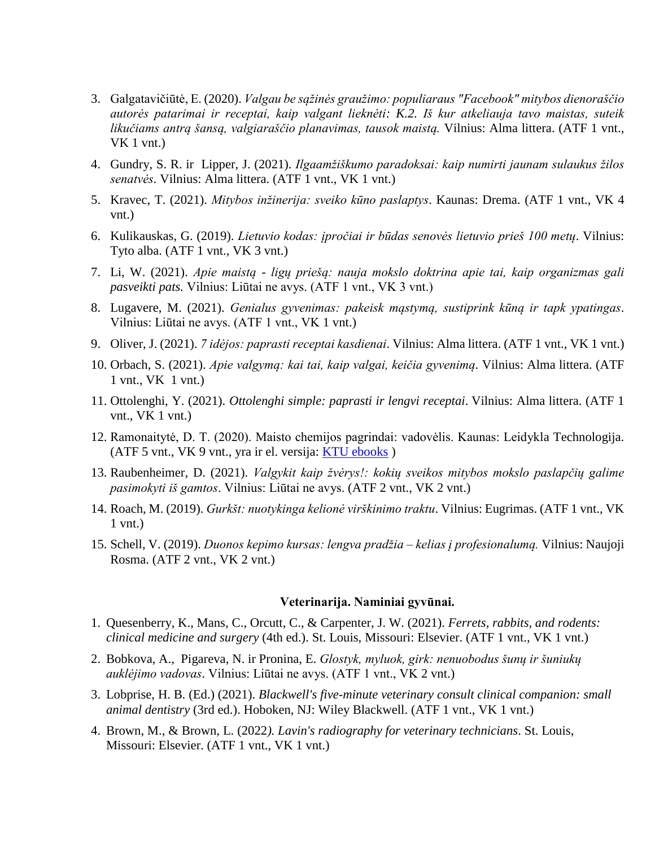- 3. Galgatavičiūtė, E. (2020). *Valgau be sąžinės graužimo: populiaraus "Facebook" mitybos dienoraščio autorės patarimai ir receptai, kaip valgant lieknėti: K.2. Iš kur atkeliauja tavo maistas, suteik likučiams antrą šansą, valgiaraščio planavimas, tausok maistą.* Vilnius: Alma littera. (ATF 1 vnt., VK 1 vnt.)
- 4. Gundry, S. R. ir Lipper, J. (2021). *Ilgaamžiškumo paradoksai: kaip numirti jaunam sulaukus žilos senatvės.* Vilnius: Alma littera. (ATF 1 vnt., VK 1 vnt.)
- 5. Kravec, T. (2021). *Mitybos inžinerija: sveiko kūno paslaptys*. Kaunas: Drema. (ATF 1 vnt., VK 4 vnt.)
- 6. Kulikauskas, G. (2019). *Lietuvio kodas: įpročiai ir būdas senovės lietuvio prieš 100 metų*. Vilnius: Tyto alba. (ATF 1 vnt., VK 3 vnt.)
- 7. Li, W. (2021). *Apie maistą - ligų priešą: nauja mokslo doktrina apie tai, kaip organizmas gali pasveikti pats.* Vilnius: Liūtai ne avys. (ATF 1 vnt., VK 3 vnt.)
- 8. Lugavere, M. (2021). *Genialus gyvenimas: pakeisk mąstymą, sustiprink kūną ir tapk ypatingas*. Vilnius: Liūtai ne avys. (ATF 1 vnt., VK 1 vnt.)
- 9. Oliver, J. (2021). *7 idėjos: paprasti receptai kasdienai*. Vilnius: Alma littera. (ATF 1 vnt., VK 1 vnt.)
- 10. Orbach, S. (2021). *Apie valgymą: kai tai, kaip valgai, keičia gyvenimą*. Vilnius: Alma littera. (ATF 1 vnt., VK 1 vnt.)
- 11. Ottolenghi, Y. (2021). *Ottolenghi simple: paprasti ir lengvi receptai*. Vilnius: Alma littera. (ATF 1 vnt., VK 1 vnt.)
- 12. Ramonaitytė, D. T. (2020). Maisto chemijos pagrindai: vadovėlis. Kaunas: Leidykla Technologija. (ATF 5 vnt., VK 9 vnt., yra ir el. versija: [KTU ebooks](https://www.ebooks.ktu.lt/) )
- 13. Raubenheimer, D. (2021). *Valgykit kaip žvėrys!: kokių sveikos mitybos mokslo paslapčių galime pasimokyti iš gamtos*. Vilnius: Liūtai ne avys. (ATF 2 vnt., VK 2 vnt.)
- 14. Roach, M. (2019). *Gurkšt: nuotykinga kelionė virškinimo traktu*. Vilnius: Eugrimas. (ATF 1 vnt., VK 1 vnt.)
- 15. Schell, V. (2019). *Duonos kepimo kursas: lengva pradžia – kelias į profesionalumą.* Vilnius: Naujoji Rosma. (ATF 2 vnt., VK 2 vnt.)

#### **Veterinarija. Naminiai gyvūnai.**

- 1. Quesenberry, K., Mans, C., Orcutt, C., & Carpenter, J. W. (2021). *Ferrets, rabbits, and rodents: clinical medicine and surgery* (4th ed.). St. Louis, Missouri: Elsevier. (ATF 1 vnt., VK 1 vnt.)
- 2. Bobkova, A., Pigareva, N. ir Pronina, E. *Glostyk, myluok, girk: nenuobodus šunų ir šuniukų auklėjimo vadovas*. Vilnius: Liūtai ne avys. (ATF 1 vnt., VK 2 vnt.)
- 3. Lobprise, H. B. (Ed.) (2021). *Blackwell's five-minute veterinary consult clinical companion: small animal dentistry* (3rd ed.). Hoboken, NJ: Wiley Blackwell. (ATF 1 vnt., VK 1 vnt.)
- 4. Brown, M., & Brown, L. (2022*). Lavin's radiography for veterinary technicians*. St. Louis, Missouri: Elsevier. (ATF 1 vnt., VK 1 vnt.)